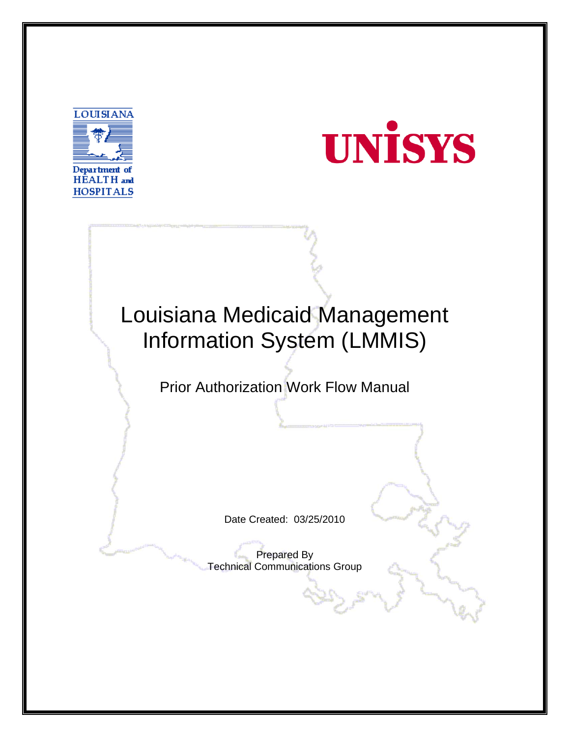



## Louisiana Medicaid Management Information System (LMMIS)

Prior Authorization Work Flow Manual

Date Created: 03/25/2010

Prepared By Technical Communications Group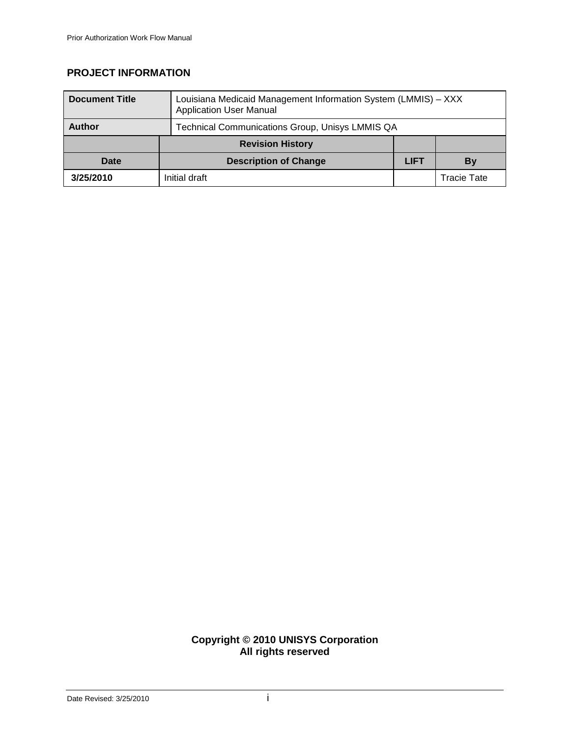## **PROJECT INFORMATION**

| <b>Document Title</b> | Louisiana Medicaid Management Information System (LMMIS) - XXX<br><b>Application User Manual</b> |             |             |
|-----------------------|--------------------------------------------------------------------------------------------------|-------------|-------------|
| <b>Author</b>         | Technical Communications Group, Unisys LMMIS QA                                                  |             |             |
|                       | <b>Revision History</b>                                                                          |             |             |
| Date                  | <b>Description of Change</b>                                                                     | <b>LIFT</b> | By          |
| 3/25/2010             | Initial draft                                                                                    |             | Tracie Tate |

## **Copyright © 2010 UNISYS Corporation All rights reserved**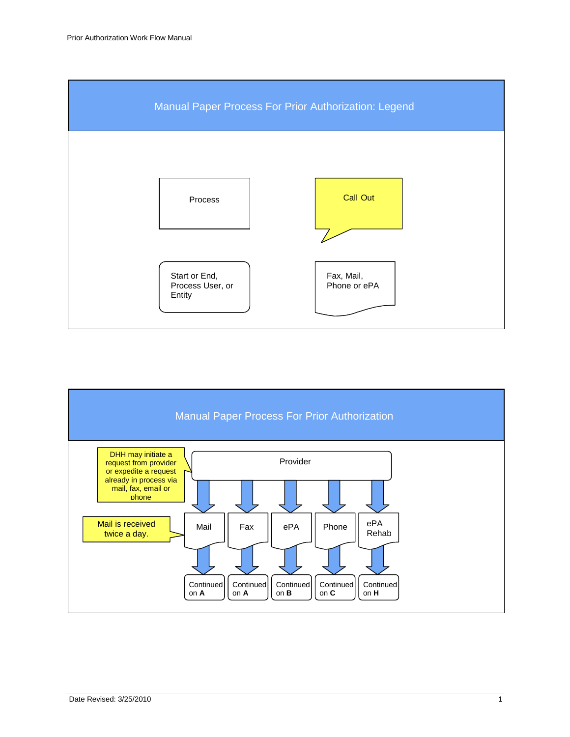

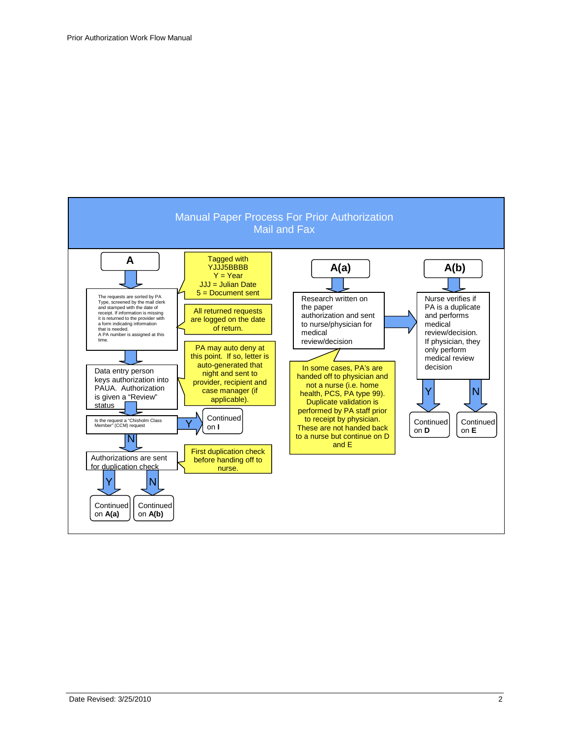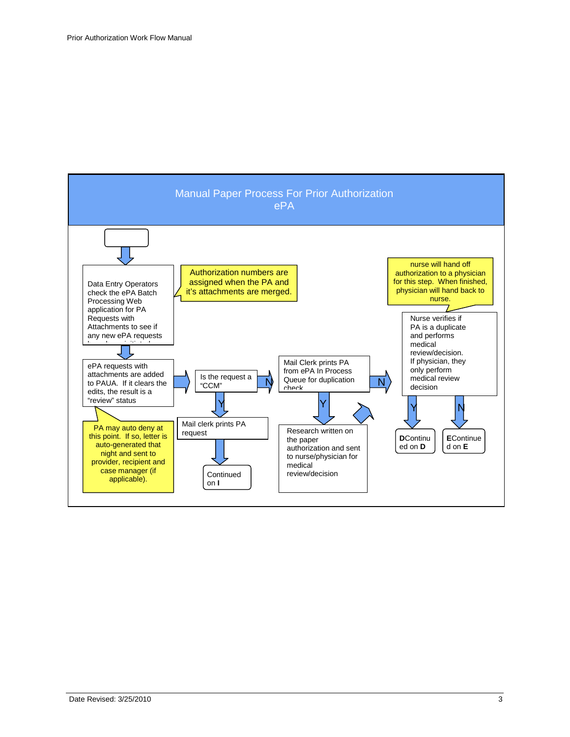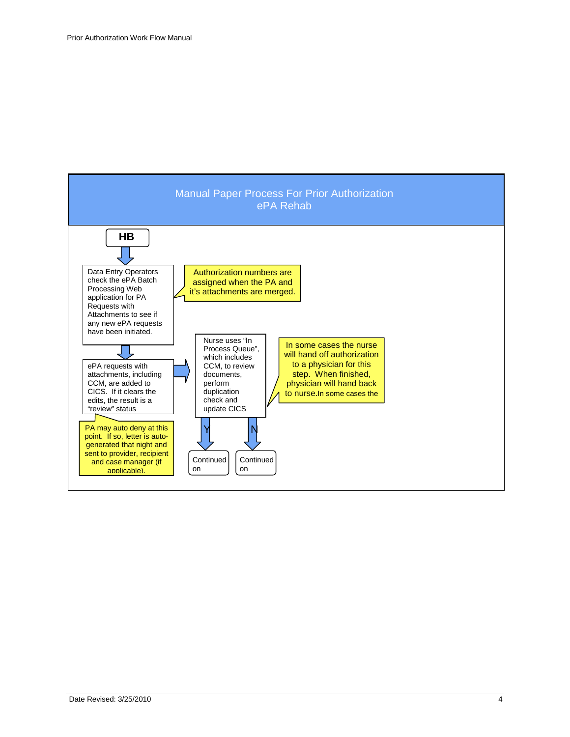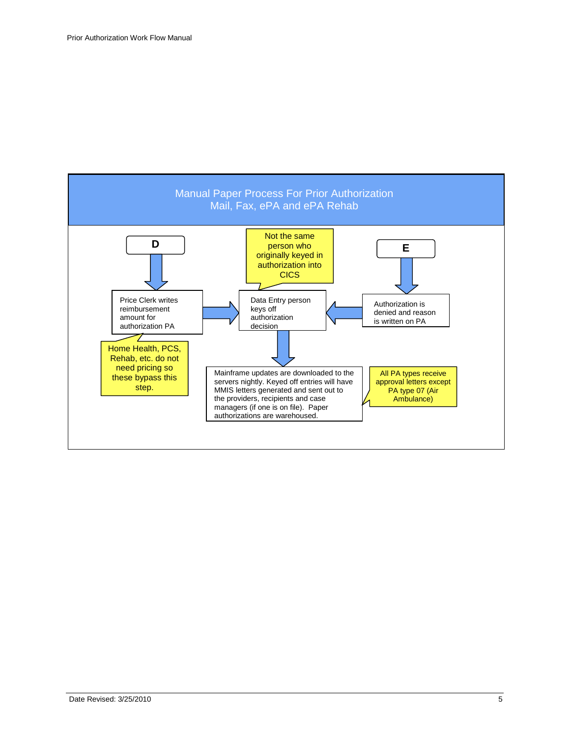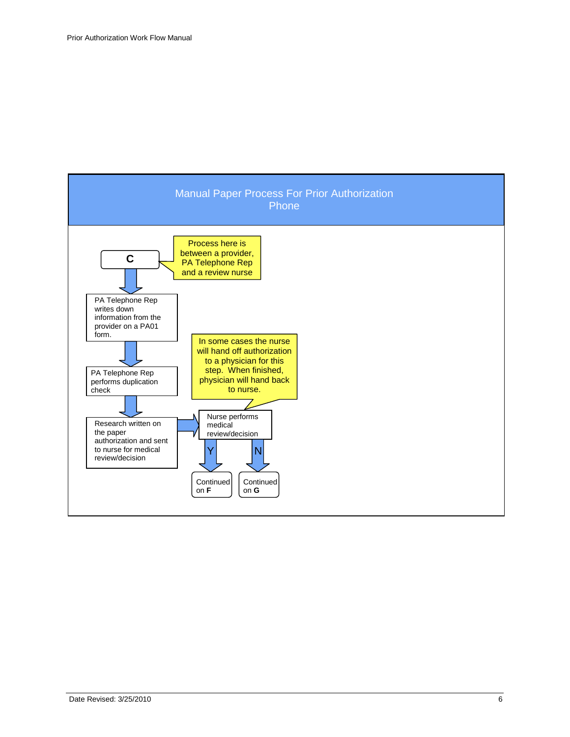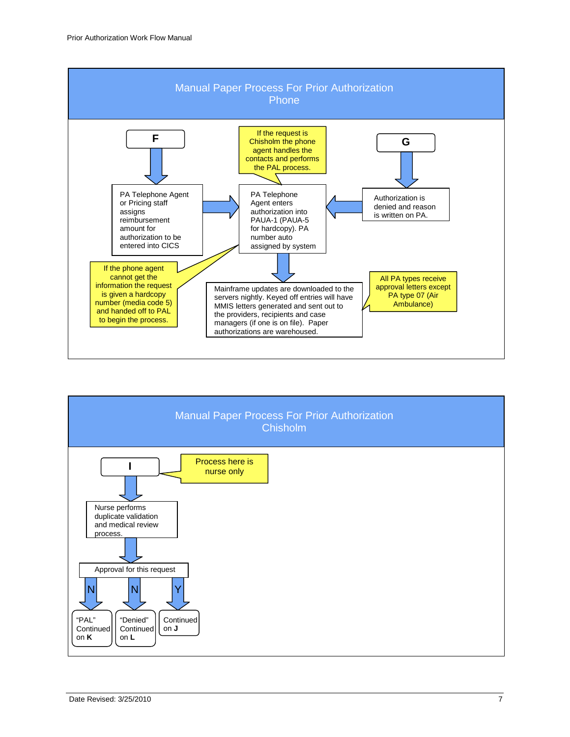